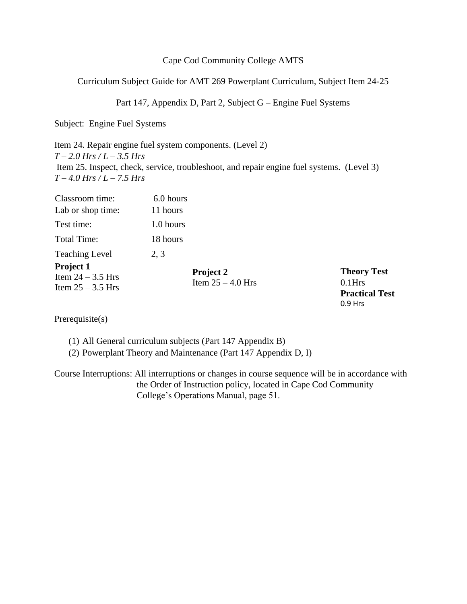## Cape Cod Community College AMTS

Curriculum Subject Guide for AMT 269 Powerplant Curriculum, Subject Item 24-25

Part 147, Appendix D, Part 2, Subject G – Engine Fuel Systems

Subject: Engine Fuel Systems

Item 24. Repair engine fuel system components. (Level 2) *T – 2.0 Hrs / L – 3.5 Hrs* Item 25. Inspect, check, service, troubleshoot, and repair engine fuel systems. (Level 3) *T – 4.0 Hrs / L – 7.5 Hrs* 

| Classroom time:                                         | 6.0 hours                        |
|---------------------------------------------------------|----------------------------------|
| Lab or shop time:                                       | 11 hours                         |
| Test time:                                              | 1.0 hours                        |
| <b>Total Time:</b>                                      | 18 hours                         |
| <b>Teaching Level</b>                                   | 2, 3                             |
| Project 1<br>Item $24 - 3.5$ Hrs<br>Item $25 - 3.5$ Hrs | Project 2<br>Item $25 - 4.0$ Hrs |

**Theory Test**  0.1Hrs **Practical Test**  0.9 Hrs

Prerequisite(s)

(1) All General curriculum subjects (Part 147 Appendix B)

(2) Powerplant Theory and Maintenance (Part 147 Appendix D, I)

Course Interruptions: All interruptions or changes in course sequence will be in accordance with the Order of Instruction policy, located in Cape Cod Community College's Operations Manual, page 51.